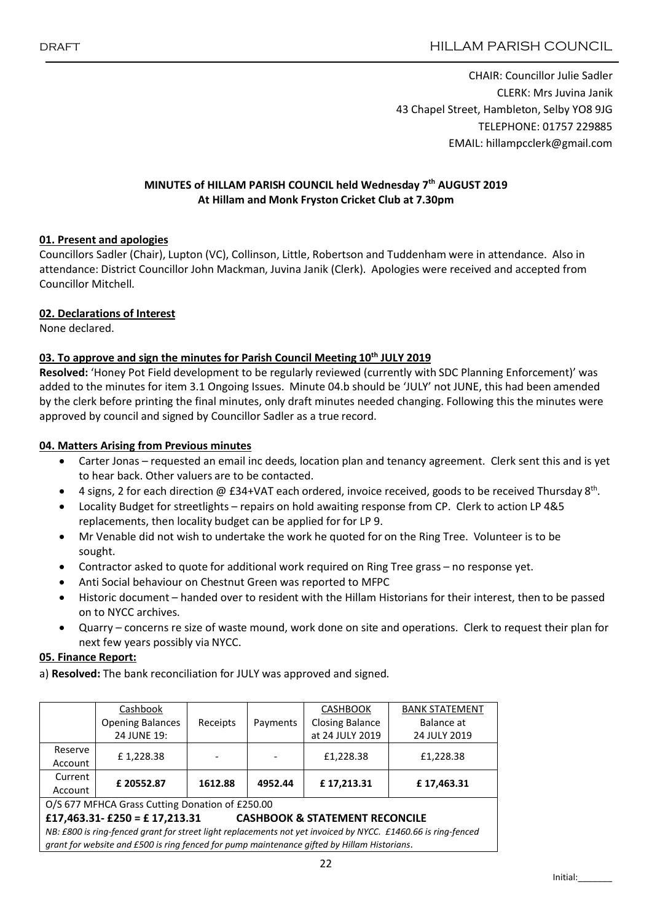CHAIR: Councillor Julie Sadler CLERK: Mrs Juvina Janik 43 Chapel Street, Hambleton, Selby YO8 9JG TELEPHONE: 01757 229885 EMAIL: hillampcclerk@gmail.com

#### MINUTES of HILLAM PARISH COUNCIL held Wednesday 7<sup>th</sup> AUGUST 2019 At Hillam and Monk Fryston Cricket Club at 7.30pm

#### 01. Present and apologies

Councillors Sadler (Chair), Lupton (VC), Collinson, Little, Robertson and Tuddenham were in attendance. Also in attendance: District Councillor John Mackman, Juvina Janik (Clerk). Apologies were received and accepted from Councillor Mitchell.

#### 02. Declarations of Interest

None declared.

#### 03. To approve and sign the minutes for Parish Council Meeting 10<sup>th</sup> JULY 2019

Resolved: 'Honey Pot Field development to be regularly reviewed (currently with SDC Planning Enforcement)' was added to the minutes for item 3.1 Ongoing Issues. Minute 04.b should be 'JULY' not JUNE, this had been amended by the clerk before printing the final minutes, only draft minutes needed changing. Following this the minutes were approved by council and signed by Councillor Sadler as a true record.

#### 04. Matters Arising from Previous minutes

- Carter Jonas requested an email inc deeds, location plan and tenancy agreement. Clerk sent this and is yet to hear back. Other valuers are to be contacted.
- 4 signs, 2 for each direction @ £34+VAT each ordered, invoice received, goods to be received Thursday 8<sup>th</sup>.
- Locality Budget for streetlights repairs on hold awaiting response from CP. Clerk to action LP 4&5 replacements, then locality budget can be applied for for LP 9.
- Mr Venable did not wish to undertake the work he quoted for on the Ring Tree. Volunteer is to be sought.
- Contractor asked to quote for additional work required on Ring Tree grass no response yet.
- Anti Social behaviour on Chestnut Green was reported to MFPC
- Historic document handed over to resident with the Hillam Historians for their interest, then to be passed on to NYCC archives.
- Quarry concerns re size of waste mound, work done on site and operations. Clerk to request their plan for next few years possibly via NYCC.

#### 05. Finance Report:

a) Resolved: The bank reconciliation for JULY was approved and signed.

|                                                                              | Cashbook                |          |          | <b>CASHBOOK</b>        | <b>BANK STATEMENT</b><br>Balance at |  |  |  |  |
|------------------------------------------------------------------------------|-------------------------|----------|----------|------------------------|-------------------------------------|--|--|--|--|
|                                                                              | <b>Opening Balances</b> | Receipts | Payments | <b>Closing Balance</b> |                                     |  |  |  |  |
|                                                                              | 24 JUNE 19:             |          |          | at 24 JULY 2019        | 24 JULY 2019                        |  |  |  |  |
| Reserve                                                                      | £1,228.38               |          |          | £1,228.38              | £1,228.38                           |  |  |  |  |
| Account                                                                      |                         |          |          |                        |                                     |  |  |  |  |
| Current                                                                      | £20552.87               | 1612.88  | 4952.44  | £17,213.31             | £17,463.31                          |  |  |  |  |
| Account                                                                      |                         |          |          |                        |                                     |  |  |  |  |
| O/S 677 MFHCA Grass Cutting Donation of £250.00                              |                         |          |          |                        |                                     |  |  |  |  |
| £17,463.31- $£250 = £17,213.31$<br><b>CASHBOOK &amp; STATEMENT RECONCILE</b> |                         |          |          |                        |                                     |  |  |  |  |

*NB: £800 is ring-fenced grant for street light replacements not yet invoiced by NYCC. £1460.66 is ring-fenced grant for website and £500 is ring fenced for pump maintenance gifted by Hillam Historians*.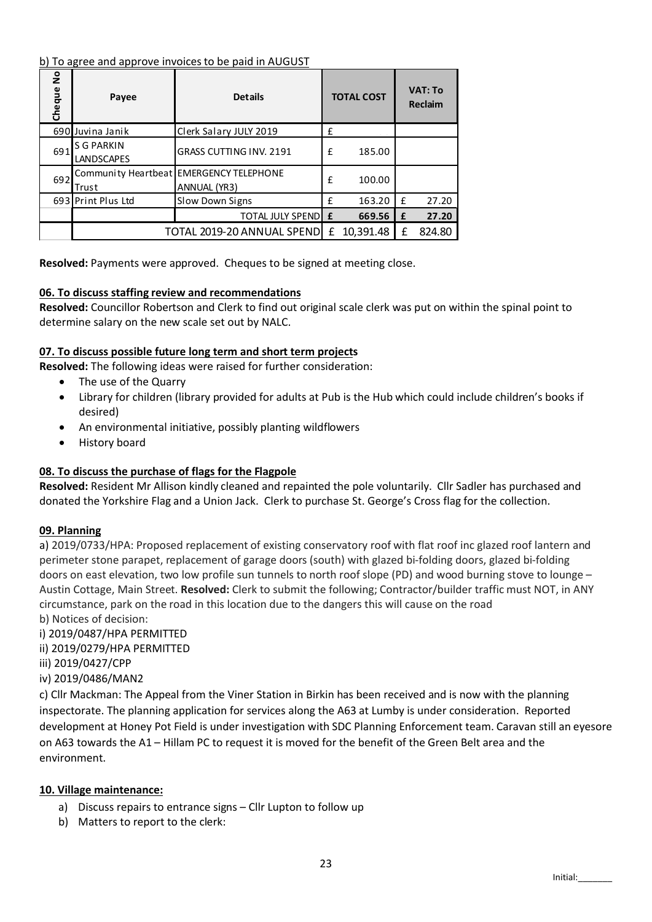#### b) To agree and approve invoices to be paid in AUGUST

| Cheque No                                                                                                                                                                                                                                                                                                                                                                         | <b>Details</b><br>Payee                                                                                                                          |                                                                                                                                                                                                                                                                                                                                                                                                                                                                                                                                                                                                                                                                                                                                                                                                                                     | <b>TOTAL COST</b> |             | <b>VAT: To</b><br>Reclaim |        |  |  |  |  |
|-----------------------------------------------------------------------------------------------------------------------------------------------------------------------------------------------------------------------------------------------------------------------------------------------------------------------------------------------------------------------------------|--------------------------------------------------------------------------------------------------------------------------------------------------|-------------------------------------------------------------------------------------------------------------------------------------------------------------------------------------------------------------------------------------------------------------------------------------------------------------------------------------------------------------------------------------------------------------------------------------------------------------------------------------------------------------------------------------------------------------------------------------------------------------------------------------------------------------------------------------------------------------------------------------------------------------------------------------------------------------------------------------|-------------------|-------------|---------------------------|--------|--|--|--|--|
|                                                                                                                                                                                                                                                                                                                                                                                   | 690 Juvina Janik                                                                                                                                 | Clerk Salary JULY 2019                                                                                                                                                                                                                                                                                                                                                                                                                                                                                                                                                                                                                                                                                                                                                                                                              | £                 |             |                           |        |  |  |  |  |
| 691                                                                                                                                                                                                                                                                                                                                                                               | <b>S G PARKIN</b><br>LANDSCAPES                                                                                                                  | GRASS CUTTING INV. 2191                                                                                                                                                                                                                                                                                                                                                                                                                                                                                                                                                                                                                                                                                                                                                                                                             |                   | £<br>185.00 |                           |        |  |  |  |  |
| 692                                                                                                                                                                                                                                                                                                                                                                               | Trust                                                                                                                                            | Community Heartbeat EMERGENCY TELEPHONE<br>ANNUAL (YR3)                                                                                                                                                                                                                                                                                                                                                                                                                                                                                                                                                                                                                                                                                                                                                                             |                   | 100.00      |                           |        |  |  |  |  |
|                                                                                                                                                                                                                                                                                                                                                                                   | 693 Print Plus Ltd                                                                                                                               | Slow Down Signs                                                                                                                                                                                                                                                                                                                                                                                                                                                                                                                                                                                                                                                                                                                                                                                                                     | £                 | 163.20      | £                         | 27.20  |  |  |  |  |
|                                                                                                                                                                                                                                                                                                                                                                                   |                                                                                                                                                  | <b>TOTAL JULY SPEND E</b>                                                                                                                                                                                                                                                                                                                                                                                                                                                                                                                                                                                                                                                                                                                                                                                                           |                   | 669.56      | £                         | 27.20  |  |  |  |  |
|                                                                                                                                                                                                                                                                                                                                                                                   |                                                                                                                                                  | TOTAL 2019-20 ANNUAL SPEND £ 10,391.48                                                                                                                                                                                                                                                                                                                                                                                                                                                                                                                                                                                                                                                                                                                                                                                              |                   |             | £                         | 824.80 |  |  |  |  |
| Resolved: Payments were approved. Cheques to be signed at meeting close.<br>06. To discuss staffing review and recommendations<br>Resolved: Councillor Robertson and Clerk to find out original scale clerk was put on wit<br>determine salary on the new scale set out by NALC.                                                                                                  |                                                                                                                                                  |                                                                                                                                                                                                                                                                                                                                                                                                                                                                                                                                                                                                                                                                                                                                                                                                                                     |                   |             |                           |        |  |  |  |  |
| 07. To discuss possible future long term and short term projects<br>Resolved: The following ideas were raised for further consideration:<br>The use of the Quarry<br>Library for children (library provided for adults at Pub is the Hub which could in<br>$\bullet$<br>desired)<br>An environmental initiative, possibly planting wildflowers<br>٠<br>History board<br>$\bullet$ |                                                                                                                                                  |                                                                                                                                                                                                                                                                                                                                                                                                                                                                                                                                                                                                                                                                                                                                                                                                                                     |                   |             |                           |        |  |  |  |  |
| 08. To discuss the purchase of flags for the Flagpole<br>Resolved: Resident Mr Allison kindly cleaned and repainted the pole voluntarily. Cllr S<br>donated the Yorkshire Flag and a Union Jack. Clerk to purchase St. George's Cross flag                                                                                                                                        |                                                                                                                                                  |                                                                                                                                                                                                                                                                                                                                                                                                                                                                                                                                                                                                                                                                                                                                                                                                                                     |                   |             |                           |        |  |  |  |  |
| 09. Planning                                                                                                                                                                                                                                                                                                                                                                      | b) Notices of decision:<br>i) 2019/0487/HPA PERMITTED<br>ii) 2019/0279/HPA PERMITTED<br>iii) 2019/0427/CPP<br>iv) 2019/0486/MAN2<br>environment. | a) 2019/0733/HPA: Proposed replacement of existing conservatory roof with flat roof i<br>perimeter stone parapet, replacement of garage doors (south) with glazed bi-folding d<br>doors on east elevation, two low profile sun tunnels to north roof slope (PD) and wood<br>Austin Cottage, Main Street. Resolved: Clerk to submit the following; Contractor/build<br>circumstance, park on the road in this location due to the dangers this will cause on th<br>c) Cllr Mackman: The Appeal from the Viner Station in Birkin has been received and is r<br>inspectorate. The planning application for services along the A63 at Lumby is under co<br>development at Honey Pot Field is under investigation with SDC Planning Enforcement<br>on A63 towards the A1 - Hillam PC to request it is moved for the benefit of the Green |                   |             |                           |        |  |  |  |  |
| a)<br>b)                                                                                                                                                                                                                                                                                                                                                                          | 10. Village maintenance:<br>Matters to report to the clerk:                                                                                      | Discuss repairs to entrance signs - Cllr Lupton to follow up                                                                                                                                                                                                                                                                                                                                                                                                                                                                                                                                                                                                                                                                                                                                                                        |                   |             |                           |        |  |  |  |  |

### 06. To discuss staffing review and recommendations

Resolved: Councillor Robertson and Clerk to find out original scale clerk was put on within the spinal point to determine salary on the new scale set out by NALC.

### 07. To discuss possible future long term and short term projects

- The use of the Quarry
- Library for children (library provided for adults at Pub is the Hub which could include children's books if desired)
- An environmental initiative, possibly planting wildflowers
- History board

# 08. To discuss the purchase of flags for the Flagpole

Resolved: Resident Mr Allison kindly cleaned and repainted the pole voluntarily. Cllr Sadler has purchased and donated the Yorkshire Flag and a Union Jack. Clerk to purchase St. George's Cross flag for the collection.

### 09. Planning

a) 2019/0733/HPA: Proposed replacement of existing conservatory roof with flat roof inc glazed roof lantern and perimeter stone parapet, replacement of garage doors (south) with glazed bi-folding doors, glazed bi-folding doors on east elevation, two low profile sun tunnels to north roof slope (PD) and wood burning stove to lounge – Austin Cottage, Main Street. Resolved: Clerk to submit the following; Contractor/builder traffic must NOT, in ANY circumstance, park on the road in this location due to the dangers this will cause on the road b) Notices of decision:

c) Cllr Mackman: The Appeal from the Viner Station in Birkin has been received and is now with the planning inspectorate. The planning application for services along the A63 at Lumby is under consideration. Reported development at Honey Pot Field is under investigation with SDC Planning Enforcement team. Caravan still an eyesore on A63 towards the A1 – Hillam PC to request it is moved for the benefit of the Green Belt area and the environment.

### 10. Village maintenance:

- a) Discuss repairs to entrance signs Cllr Lupton to follow up
-